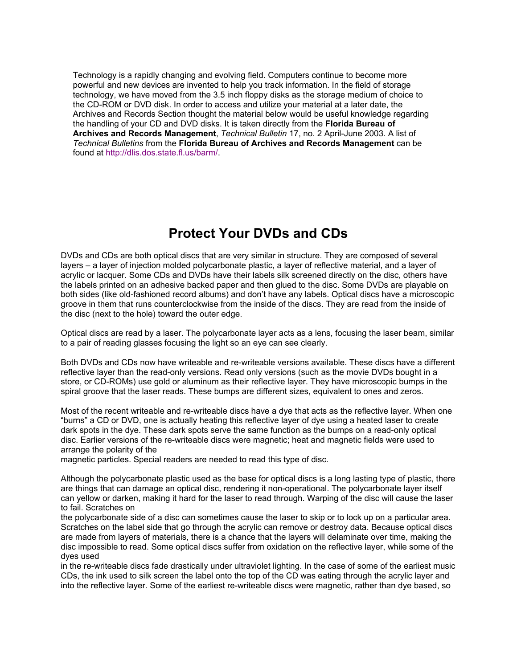Technology is a rapidly changing and evolving field. Computers continue to become more powerful and new devices are invented to help you track information. In the field of storage technology, we have moved from the 3.5 inch floppy disks as the storage medium of choice to the CD-ROM or DVD disk. In order to access and utilize your material at a later date, the Archives and Records Section thought the material below would be useful knowledge regarding the handling of your CD and DVD disks. It is taken directly from the **Florida Bureau of Archives and Records Management**, *Technical Bulletin* 17, no. 2 April-June 2003. A list of *Technical Bulletins* from the **Florida Bureau of Archives and Records Management** can be found at [http://dlis.dos.state.fl.us/barm/.](http://dlis.dos.state.fl.us/barm/) 

# **Protect Your DVDs and CDs**

DVDs and CDs are both optical discs that are very similar in structure. They are composed of several layers – a layer of injection molded polycarbonate plastic, a layer of reflective material, and a layer of acrylic or lacquer. Some CDs and DVDs have their labels silk screened directly on the disc, others have the labels printed on an adhesive backed paper and then glued to the disc. Some DVDs are playable on both sides (like old-fashioned record albums) and don't have any labels. Optical discs have a microscopic groove in them that runs counterclockwise from the inside of the discs. They are read from the inside of the disc (next to the hole) toward the outer edge.

Optical discs are read by a laser. The polycarbonate layer acts as a lens, focusing the laser beam, similar to a pair of reading glasses focusing the light so an eye can see clearly.

Both DVDs and CDs now have writeable and re-writeable versions available. These discs have a different reflective layer than the read-only versions. Read only versions (such as the movie DVDs bought in a store, or CD-ROMs) use gold or aluminum as their reflective layer. They have microscopic bumps in the spiral groove that the laser reads. These bumps are different sizes, equivalent to ones and zeros.

Most of the recent writeable and re-writeable discs have a dye that acts as the reflective layer. When one "burns" a CD or DVD, one is actually heating this reflective layer of dye using a heated laser to create dark spots in the dye. These dark spots serve the same function as the bumps on a read-only optical disc. Earlier versions of the re-writeable discs were magnetic; heat and magnetic fields were used to arrange the polarity of the

magnetic particles. Special readers are needed to read this type of disc.

Although the polycarbonate plastic used as the base for optical discs is a long lasting type of plastic, there are things that can damage an optical disc, rendering it non-operational. The polycarbonate layer itself can yellow or darken, making it hard for the laser to read through. Warping of the disc will cause the laser to fail. Scratches on

the polycarbonate side of a disc can sometimes cause the laser to skip or to lock up on a particular area. Scratches on the label side that go through the acrylic can remove or destroy data. Because optical discs are made from layers of materials, there is a chance that the layers will delaminate over time, making the disc impossible to read. Some optical discs suffer from oxidation on the reflective layer, while some of the dyes used

in the re-writeable discs fade drastically under ultraviolet lighting. In the case of some of the earliest music CDs, the ink used to silk screen the label onto the top of the CD was eating through the acrylic layer and into the reflective layer. Some of the earliest re-writeable discs were magnetic, rather than dye based, so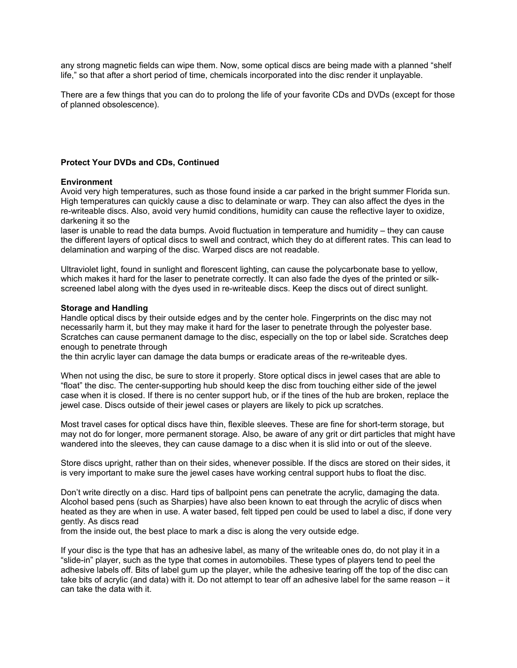any strong magnetic fields can wipe them. Now, some optical discs are being made with a planned "shelf life," so that after a short period of time, chemicals incorporated into the disc render it unplayable.

There are a few things that you can do to prolong the life of your favorite CDs and DVDs (except for those of planned obsolescence).

### **Protect Your DVDs and CDs, Continued**

### **Environment**

Avoid very high temperatures, such as those found inside a car parked in the bright summer Florida sun. High temperatures can quickly cause a disc to delaminate or warp. They can also affect the dyes in the re-writeable discs. Also, avoid very humid conditions, humidity can cause the reflective layer to oxidize, darkening it so the

laser is unable to read the data bumps. Avoid fluctuation in temperature and humidity – they can cause the different layers of optical discs to swell and contract, which they do at different rates. This can lead to delamination and warping of the disc. Warped discs are not readable.

Ultraviolet light, found in sunlight and florescent lighting, can cause the polycarbonate base to yellow, which makes it hard for the laser to penetrate correctly. It can also fade the dyes of the printed or silkscreened label along with the dyes used in re-writeable discs. Keep the discs out of direct sunlight.

#### **Storage and Handling**

Handle optical discs by their outside edges and by the center hole. Fingerprints on the disc may not necessarily harm it, but they may make it hard for the laser to penetrate through the polyester base. Scratches can cause permanent damage to the disc, especially on the top or label side. Scratches deep enough to penetrate through

the thin acrylic layer can damage the data bumps or eradicate areas of the re-writeable dyes.

When not using the disc, be sure to store it properly. Store optical discs in jewel cases that are able to "float" the disc. The center-supporting hub should keep the disc from touching either side of the jewel case when it is closed. If there is no center support hub, or if the tines of the hub are broken, replace the jewel case. Discs outside of their jewel cases or players are likely to pick up scratches.

Most travel cases for optical discs have thin, flexible sleeves. These are fine for short-term storage, but may not do for longer, more permanent storage. Also, be aware of any grit or dirt particles that might have wandered into the sleeves, they can cause damage to a disc when it is slid into or out of the sleeve.

Store discs upright, rather than on their sides, whenever possible. If the discs are stored on their sides, it is very important to make sure the jewel cases have working central support hubs to float the disc.

Don't write directly on a disc. Hard tips of ballpoint pens can penetrate the acrylic, damaging the data. Alcohol based pens (such as Sharpies) have also been known to eat through the acrylic of discs when heated as they are when in use. A water based, felt tipped pen could be used to label a disc, if done very gently. As discs read

from the inside out, the best place to mark a disc is along the very outside edge.

If your disc is the type that has an adhesive label, as many of the writeable ones do, do not play it in a "slide-in" player, such as the type that comes in automobiles. These types of players tend to peel the adhesive labels off. Bits of label gum up the player, while the adhesive tearing off the top of the disc can take bits of acrylic (and data) with it. Do not attempt to tear off an adhesive label for the same reason – it can take the data with it.